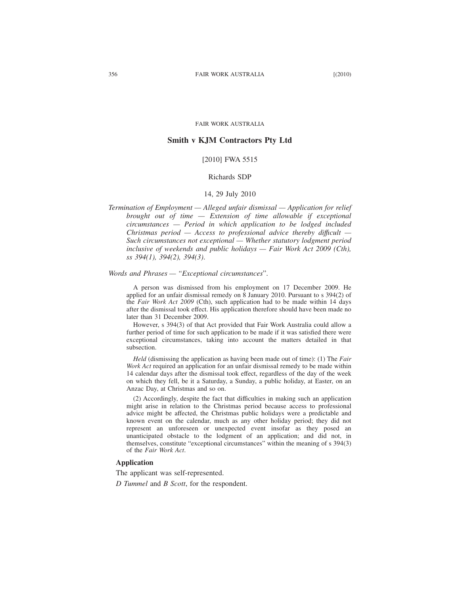#### FAIR WORK AUSTRALIA

# **Smith v KJM Contractors Pty Ltd**

# [2010] FWA 5515

# Richards SDP

# 14, 29 July 2010

*Termination of Employment — Alleged unfair dismissal — Application for relief brought out of time — Extension of time allowable if exceptional circumstances — Period in which application to be lodged included Christmas period — Access to professional advice thereby diffıcult — Such circumstances not exceptional — Whether statutory lodgment period inclusive of weekends and public holidays — Fair Work Act 2009 (Cth), ss 394(1), 394(2), 394(3)*.

#### *Words and Phrases — "Exceptional circumstances*".

A person was dismissed from his employment on 17 December 2009. He applied for an unfair dismissal remedy on 8 January 2010. Pursuant to s 394(2) of the *Fair Work Act 2009* (Cth), such application had to be made within 14 days after the dismissal took effect. His application therefore should have been made no later than 31 December 2009.

However, s 394(3) of that Act provided that Fair Work Australia could allow a further period of time for such application to be made if it was satisfied there were exceptional circumstances, taking into account the matters detailed in that subsection.

*Held* (dismissing the application as having been made out of time): (1) The *Fair Work Act* required an application for an unfair dismissal remedy to be made within 14 calendar days after the dismissal took effect, regardless of the day of the week on which they fell, be it a Saturday, a Sunday, a public holiday, at Easter, on an Anzac Day, at Christmas and so on.

(2) Accordingly, despite the fact that difficulties in making such an application might arise in relation to the Christmas period because access to professional advice might be affected, the Christmas public holidays were a predictable and known event on the calendar, much as any other holiday period; they did not represent an unforeseen or unexpected event insofar as they posed an unanticipated obstacle to the lodgment of an application; and did not, in themselves, constitute "exceptional circumstances" within the meaning of s 394(3) of the *Fair Work Act*.

# **Application**

The applicant was self-represented.

*D Tummel* and *B Scott*, for the respondent.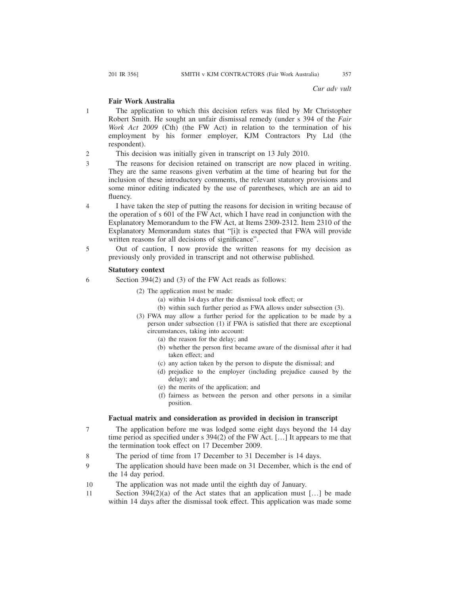*Cur adv vult*

# **Fair Work Australia**

The application to which this decision refers was filed by Mr Christopher Robert Smith. He sought an unfair dismissal remedy (under s 394 of the *Fair Work Act 2009* (Cth) (the FW Act) in relation to the termination of his employment by his former employer, KJM Contractors Pty Ltd (the respondent).

This decision was initially given in transcript on 13 July 2010. 2

- The reasons for decision retained on transcript are now placed in writing. They are the same reasons given verbatim at the time of hearing but for the inclusion of these introductory comments, the relevant statutory provisions and some minor editing indicated by the use of parentheses, which are an aid to fluency.
- I have taken the step of putting the reasons for decision in writing because of the operation of s 601 of the FW Act, which I have read in conjunction with the Explanatory Memorandum to the FW Act, at Items 2309-2312. Item 2310 of the Explanatory Memorandum states that "[i]t is expected that FWA will provide written reasons for all decisions of significance". 4
- Out of caution, I now provide the written reasons for my decision as previously only provided in transcript and not otherwise published. 5

#### **Statutory context**

- Section 394(2) and (3) of the FW Act reads as follows: 6
	- (2) The application must be made:
		- (a) within 14 days after the dismissal took effect; or
		- (b) within such further period as FWA allows under subsection (3).
	- (3) FWA may allow a further period for the application to be made by a person under subsection (1) if FWA is satisfied that there are exceptional circumstances, taking into account:
		- (a) the reason for the delay; and
		- (b) whether the person first became aware of the dismissal after it had taken effect; and
		- (c) any action taken by the person to dispute the dismissal; and
		- (d) prejudice to the employer (including prejudice caused by the delay); and
		- (e) the merits of the application; and
		- (f) fairness as between the person and other persons in a similar position.

### **Factual matrix and consideration as provided in decision in transcript**

- The application before me was lodged some eight days beyond the 14 day time period as specified under s 394(2) of the FW Act. […] It appears to me that the termination took effect on 17 December 2009. 7
- The period of time from 17 December to 31 December is 14 days. 8
- The application should have been made on 31 December, which is the end of the 14 day period.  $\mathbf Q$
- The application was not made until the eighth day of January. 10
- Section  $394(2)(a)$  of the Act states that an application must [...] be made within 14 days after the dismissal took effect. This application was made some 11

1

3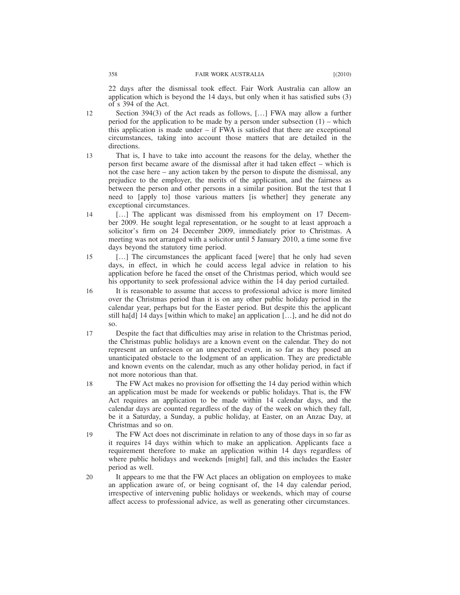- Section 394(3) of the Act reads as follows, […] FWA may allow a further period for the application to be made by a person under subsection (1) – which this application is made under – if FWA is satisfied that there are exceptional circumstances, taking into account those matters that are detailed in the directions. 12
- That is, I have to take into account the reasons for the delay, whether the person first became aware of the dismissal after it had taken effect – which is not the case here – any action taken by the person to dispute the dismissal, any prejudice to the employer, the merits of the application, and the fairness as between the person and other persons in a similar position. But the test that I need to [apply to] those various matters [is whether] they generate any exceptional circumstances. 13
- [...] The applicant was dismissed from his employment on 17 December 2009. He sought legal representation, or he sought to at least approach a solicitor's firm on 24 December 2009, immediately prior to Christmas. A meeting was not arranged with a solicitor until 5 January 2010, a time some five days beyond the statutory time period. 14
- [...] The circumstances the applicant faced [were] that he only had seven days, in effect, in which he could access legal advice in relation to his application before he faced the onset of the Christmas period, which would see his opportunity to seek professional advice within the 14 day period curtailed. 15
- It is reasonable to assume that access to professional advice is more limited over the Christmas period than it is on any other public holiday period in the calendar year, perhaps but for the Easter period. But despite this the applicant still ha[d] 14 days [within which to make] an application  $[\,\ldots\,]$ , and he did not do so. 16
- Despite the fact that difficulties may arise in relation to the Christmas period, the Christmas public holidays are a known event on the calendar. They do not represent an unforeseen or an unexpected event, in so far as they posed an unanticipated obstacle to the lodgment of an application. They are predictable and known events on the calendar, much as any other holiday period, in fact if not more notorious than that. 17
- The FW Act makes no provision for offsetting the 14 day period within which an application must be made for weekends or public holidays. That is, the FW Act requires an application to be made within 14 calendar days, and the calendar days are counted regardless of the day of the week on which they fall, be it a Saturday, a Sunday, a public holiday, at Easter, on an Anzac Day, at Christmas and so on. 18
- The FW Act does not discriminate in relation to any of those days in so far as it requires 14 days within which to make an application. Applicants face a requirement therefore to make an application within 14 days regardless of where public holidays and weekends [might] fall, and this includes the Easter period as well. 19
- It appears to me that the FW Act places an obligation on employees to make an application aware of, or being cognisant of, the 14 day calendar period, irrespective of intervening public holidays or weekends, which may of course affect access to professional advice, as well as generating other circumstances. 20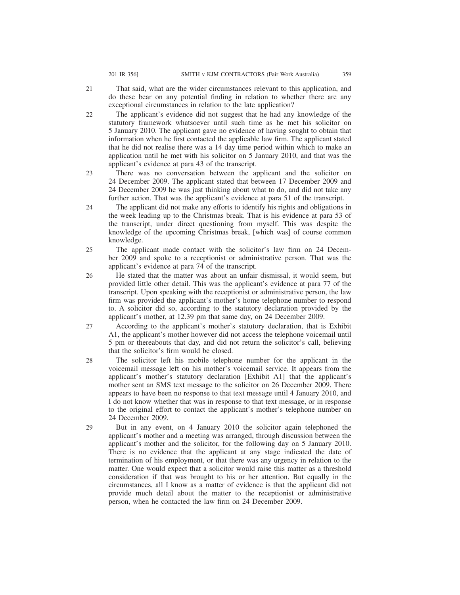- That said, what are the wider circumstances relevant to this application, and do these bear on any potential finding in relation to whether there are any exceptional circumstances in relation to the late application? 21
- The applicant's evidence did not suggest that he had any knowledge of the statutory framework whatsoever until such time as he met his solicitor on 5 January 2010. The applicant gave no evidence of having sought to obtain that information when he first contacted the applicable law firm. The applicant stated that he did not realise there was a 14 day time period within which to make an application until he met with his solicitor on 5 January 2010, and that was the applicant's evidence at para 43 of the transcript. 22
- There was no conversation between the applicant and the solicitor on 24 December 2009. The applicant stated that between 17 December 2009 and 24 December 2009 he was just thinking about what to do, and did not take any further action. That was the applicant's evidence at para 51 of the transcript. 23
- The applicant did not make any efforts to identify his rights and obligations in the week leading up to the Christmas break. That is his evidence at para 53 of the transcript, under direct questioning from myself. This was despite the knowledge of the upcoming Christmas break, [which was] of course common knowledge. 24
- The applicant made contact with the solicitor's law firm on 24 December 2009 and spoke to a receptionist or administrative person. That was the applicant's evidence at para 74 of the transcript. 25
- He stated that the matter was about an unfair dismissal, it would seem, but provided little other detail. This was the applicant's evidence at para 77 of the transcript. Upon speaking with the receptionist or administrative person, the law firm was provided the applicant's mother's home telephone number to respond to. A solicitor did so, according to the statutory declaration provided by the applicant's mother, at 12.39 pm that same day, on 24 December 2009. 26
- According to the applicant's mother's statutory declaration, that is Exhibit A1, the applicant's mother however did not access the telephone voicemail until 5 pm or thereabouts that day, and did not return the solicitor's call, believing that the solicitor's firm would be closed. 27
- The solicitor left his mobile telephone number for the applicant in the voicemail message left on his mother's voicemail service. It appears from the applicant's mother's statutory declaration [Exhibit A1] that the applicant's mother sent an SMS text message to the solicitor on 26 December 2009. There appears to have been no response to that text message until 4 January 2010, and I do not know whether that was in response to that text message, or in response to the original effort to contact the applicant's mother's telephone number on 24 December 2009. 28
- But in any event, on 4 January 2010 the solicitor again telephoned the applicant's mother and a meeting was arranged, through discussion between the applicant's mother and the solicitor, for the following day on 5 January 2010. There is no evidence that the applicant at any stage indicated the date of termination of his employment, or that there was any urgency in relation to the matter. One would expect that a solicitor would raise this matter as a threshold consideration if that was brought to his or her attention. But equally in the circumstances, all I know as a matter of evidence is that the applicant did not provide much detail about the matter to the receptionist or administrative person, when he contacted the law firm on 24 December 2009. 29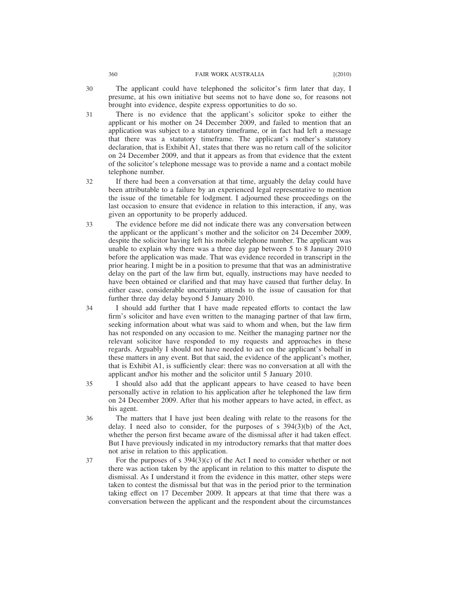- The applicant could have telephoned the solicitor's firm later that day, I presume, at his own initiative but seems not to have done so, for reasons not brought into evidence, despite express opportunities to do so. 30
- There is no evidence that the applicant's solicitor spoke to either the applicant or his mother on 24 December 2009, and failed to mention that an application was subject to a statutory timeframe, or in fact had left a message that there was a statutory timeframe. The applicant's mother's statutory declaration, that is Exhibit A1, states that there was no return call of the solicitor on 24 December 2009, and that it appears as from that evidence that the extent of the solicitor's telephone message was to provide a name and a contact mobile telephone number. 31
- If there had been a conversation at that time, arguably the delay could have been attributable to a failure by an experienced legal representative to mention the issue of the timetable for lodgment. I adjourned these proceedings on the last occasion to ensure that evidence in relation to this interaction, if any, was given an opportunity to be properly adduced. 32
- The evidence before me did not indicate there was any conversation between the applicant or the applicant's mother and the solicitor on 24 December 2009, despite the solicitor having left his mobile telephone number. The applicant was unable to explain why there was a three day gap between 5 to 8 January 2010 before the application was made. That was evidence recorded in transcript in the prior hearing. I might be in a position to presume that that was an administrative delay on the part of the law firm but, equally, instructions may have needed to have been obtained or clarified and that may have caused that further delay. In either case, considerable uncertainty attends to the issue of causation for that further three day delay beyond 5 January 2010. 33
- I should add further that I have made repeated efforts to contact the law firm's solicitor and have even written to the managing partner of that law firm, seeking information about what was said to whom and when, but the law firm has not responded on any occasion to me. Neither the managing partner nor the relevant solicitor have responded to my requests and approaches in these regards. Arguably I should not have needed to act on the applicant's behalf in these matters in any event. But that said, the evidence of the applicant's mother, that is Exhibit A1, is sufficiently clear: there was no conversation at all with the applicant and\or his mother and the solicitor until 5 January 2010. 34
- I should also add that the applicant appears to have ceased to have been personally active in relation to his application after he telephoned the law firm on 24 December 2009. After that his mother appears to have acted, in effect, as his agent. 35
- The matters that I have just been dealing with relate to the reasons for the delay. I need also to consider, for the purposes of  $s$  394(3)(b) of the Act, whether the person first became aware of the dismissal after it had taken effect. But I have previously indicated in my introductory remarks that that matter does not arise in relation to this application. 36
- For the purposes of s  $394(3)(c)$  of the Act I need to consider whether or not there was action taken by the applicant in relation to this matter to dispute the dismissal. As I understand it from the evidence in this matter, other steps were taken to contest the dismissal but that was in the period prior to the termination taking effect on 17 December 2009. It appears at that time that there was a conversation between the applicant and the respondent about the circumstances 37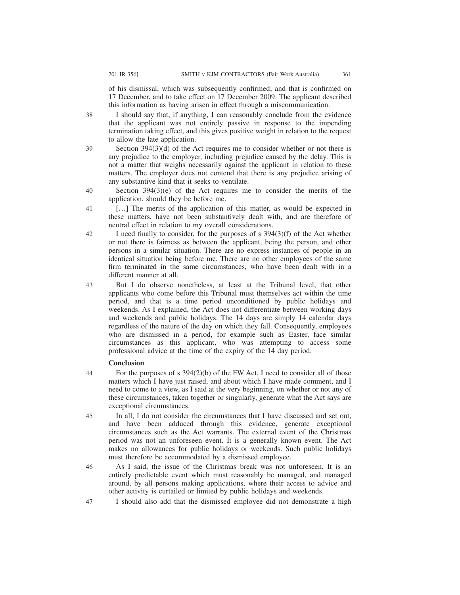38

of his dismissal, which was subsequently confirmed; and that is confirmed on 17 December, and to take effect on 17 December 2009. The applicant described this information as having arisen in effect through a miscommunication.

I should say that, if anything, I can reasonably conclude from the evidence that the applicant was not entirely passive in response to the impending termination taking effect, and this gives positive weight in relation to the request to allow the late application.

- Section 394(3)(d) of the Act requires me to consider whether or not there is any prejudice to the employer, including prejudice caused by the delay. This is not a matter that weighs necessarily against the applicant in relation to these matters. The employer does not contend that there is any prejudice arising of any substantive kind that it seeks to ventilate. 39
- Section 394(3)(e) of the Act requires me to consider the merits of the application, should they be before me. 40
- [...] The merits of the application of this matter, as would be expected in these matters, have not been substantively dealt with, and are therefore of neutral effect in relation to my overall considerations. 41
- I need finally to consider, for the purposes of s 394(3)(f) of the Act whether or not there is fairness as between the applicant, being the person, and other persons in a similar situation. There are no express instances of people in an identical situation being before me. There are no other employees of the same firm terminated in the same circumstances, who have been dealt with in a different manner at all. 42

But I do observe nonetheless, at least at the Tribunal level, that other applicants who come before this Tribunal must themselves act within the time period, and that is a time period unconditioned by public holidays and weekends. As I explained, the Act does not differentiate between working days and weekends and public holidays. The 14 days are simply 14 calendar days regardless of the nature of the day on which they fall. Consequently, employees who are dismissed in a period, for example such as Easter, face similar circumstances as this applicant, who was attempting to access some professional advice at the time of the expiry of the 14 day period. 43

### **Conclusion**

- For the purposes of s 394(2)(b) of the FW Act, I need to consider all of those matters which I have just raised, and about which I have made comment, and I need to come to a view, as I said at the very beginning, on whether or not any of these circumstances, taken together or singularly, generate what the Act says are exceptional circumstances. 44
- In all, I do not consider the circumstances that I have discussed and set out, and have been adduced through this evidence, generate exceptional circumstances such as the Act warrants. The external event of the Christmas period was not an unforeseen event. It is a generally known event. The Act makes no allowances for public holidays or weekends. Such public holidays must therefore be accommodated by a dismissed employee. 45

As I said, the issue of the Christmas break was not unforeseen. It is an entirely predictable event which must reasonably be managed, and managed around, by all persons making applications, where their access to advice and other activity is curtailed or limited by public holidays and weekends. 46

I should also add that the dismissed employee did not demonstrate a high 47